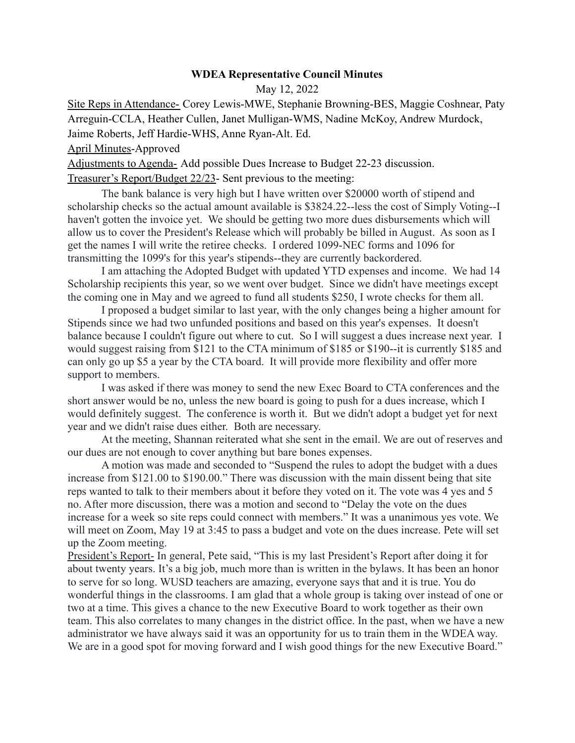## **WDEA Representative Council Minutes**

May 12, 2022

Site Reps in Attendance- Corey Lewis-MWE, Stephanie Browning-BES, Maggie Coshnear, Paty Arreguin-CCLA, Heather Cullen, Janet Mulligan-WMS, Nadine McKoy, Andrew Murdock, Jaime Roberts, Jeff Hardie-WHS, Anne Ryan-Alt. Ed.

April Minutes-Approved

Adjustments to Agenda- Add possible Dues Increase to Budget 22-23 discussion. Treasurer's Report/Budget 22/23- Sent previous to the meeting:

The bank balance is very high but I have written over \$20000 worth of stipend and scholarship checks so the actual amount available is \$3824.22--less the cost of Simply Voting--I haven't gotten the invoice yet. We should be getting two more dues disbursements which will allow us to cover the President's Release which will probably be billed in August. As soon as I get the names I will write the retiree checks. I ordered 1099-NEC forms and 1096 for transmitting the 1099's for this year's stipends--they are currently backordered.

I am attaching the Adopted Budget with updated YTD expenses and income. We had 14 Scholarship recipients this year, so we went over budget. Since we didn't have meetings except the coming one in May and we agreed to fund all students \$250, I wrote checks for them all.

I proposed a budget similar to last year, with the only changes being a higher amount for Stipends since we had two unfunded positions and based on this year's expenses. It doesn't balance because I couldn't figure out where to cut. So I will suggest a dues increase next year. I would suggest raising from \$121 to the CTA minimum of \$185 or \$190--it is currently \$185 and can only go up \$5 a year by the CTA board. It will provide more flexibility and offer more support to members.

I was asked if there was money to send the new Exec Board to CTA conferences and the short answer would be no, unless the new board is going to push for a dues increase, which I would definitely suggest. The conference is worth it. But we didn't adopt a budget yet for next year and we didn't raise dues either. Both are necessary.

At the meeting, Shannan reiterated what she sent in the email. We are out of reserves and our dues are not enough to cover anything but bare bones expenses.

A motion was made and seconded to "Suspend the rules to adopt the budget with a dues increase from \$121.00 to \$190.00." There was discussion with the main dissent being that site reps wanted to talk to their members about it before they voted on it. The vote was 4 yes and 5 no. After more discussion, there was a motion and second to "Delay the vote on the dues increase for a week so site reps could connect with members." It was a unanimous yes vote. We will meet on Zoom, May 19 at 3:45 to pass a budget and vote on the dues increase. Pete will set up the Zoom meeting.

President's Report- In general, Pete said, "This is my last President's Report after doing it for about twenty years. It's a big job, much more than is written in the bylaws. It has been an honor to serve for so long. WUSD teachers are amazing, everyone says that and it is true. You do wonderful things in the classrooms. I am glad that a whole group is taking over instead of one or two at a time. This gives a chance to the new Executive Board to work together as their own team. This also correlates to many changes in the district office. In the past, when we have a new administrator we have always said it was an opportunity for us to train them in the WDEA way. We are in a good spot for moving forward and I wish good things for the new Executive Board."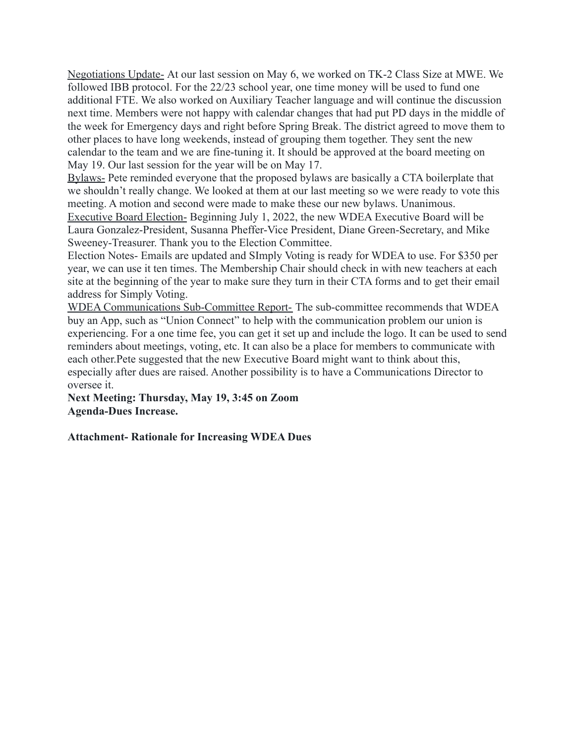Negotiations Update- At our last session on May 6, we worked on TK-2 Class Size at MWE. We followed IBB protocol. For the 22/23 school year, one time money will be used to fund one additional FTE. We also worked on Auxiliary Teacher language and will continue the discussion next time. Members were not happy with calendar changes that had put PD days in the middle of the week for Emergency days and right before Spring Break. The district agreed to move them to other places to have long weekends, instead of grouping them together. They sent the new calendar to the team and we are fine-tuning it. It should be approved at the board meeting on May 19. Our last session for the year will be on May 17.

Bylaws- Pete reminded everyone that the proposed bylaws are basically a CTA boilerplate that we shouldn't really change. We looked at them at our last meeting so we were ready to vote this meeting. A motion and second were made to make these our new bylaws. Unanimous.

Executive Board Election- Beginning July 1, 2022, the new WDEA Executive Board will be Laura Gonzalez-President, Susanna Pheffer-Vice President, Diane Green-Secretary, and Mike Sweeney-Treasurer. Thank you to the Election Committee.

Election Notes- Emails are updated and SImply Voting is ready for WDEA to use. For \$350 per year, we can use it ten times. The Membership Chair should check in with new teachers at each site at the beginning of the year to make sure they turn in their CTA forms and to get their email address for Simply Voting.

WDEA Communications Sub-Committee Report- The sub-committee recommends that WDEA buy an App, such as "Union Connect" to help with the communication problem our union is experiencing. For a one time fee, you can get it set up and include the logo. It can be used to send reminders about meetings, voting, etc. It can also be a place for members to communicate with each other.Pete suggested that the new Executive Board might want to think about this, especially after dues are raised. Another possibility is to have a Communications Director to oversee it.

**Next Meeting: Thursday, May 19, 3:45 on Zoom Agenda-Dues Increase.**

**Attachment- Rationale for Increasing WDEA Dues**